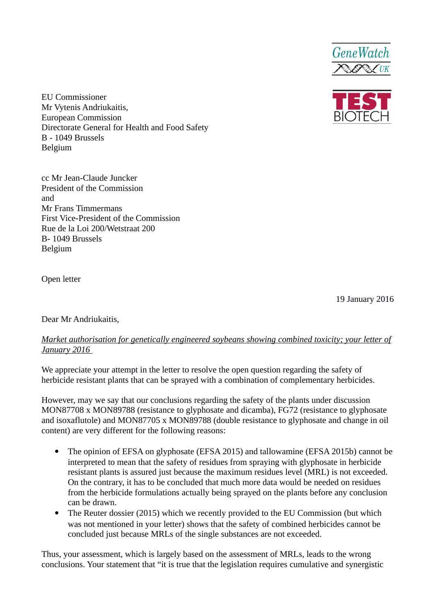



EU Commissioner Mr Vytenis Andriukaitis, European Commission Directorate General for Health and Food Safety B - 1049 Brussels Belgium

cc Mr Jean-Claude Juncker President of the Commission and Mr Frans Timmermans First Vice-President of the Commission Rue de la Loi 200/Wetstraat 200 B- 1049 Brussels Belgium

Open letter

19 January 2016

Dear Mr Andriukaitis,

## *Market authorisation for genetically engineered soybeans showing combined toxicity; your letter of January 2016*

We appreciate your attempt in the letter to resolve the open question regarding the safety of herbicide resistant plants that can be sprayed with a combination of complementary herbicides.

However, may we say that our conclusions regarding the safety of the plants under discussion MON87708 x MON89788 (resistance to glyphosate and dicamba), FG72 (resistance to glyphosate and isoxaflutole) and MON87705 x MON89788 (double resistance to glyphosate and change in oil content) are very different for the following reasons:

- The opinion of EFSA on glyphosate (EFSA 2015) and tallowamine (EFSA 2015b) cannot be interpreted to mean that the safety of residues from spraying with glyphosate in herbicide resistant plants is assured just because the maximum residues level (MRL) is not exceeded. On the contrary, it has to be concluded that much more data would be needed on residues from the herbicide formulations actually being sprayed on the plants before any conclusion can be drawn.
- The Reuter dossier (2015) which we recently provided to the EU Commission (but which was not mentioned in your letter) shows that the safety of combined herbicides cannot be concluded just because MRLs of the single substances are not exceeded.

Thus, your assessment, which is largely based on the assessment of MRLs, leads to the wrong conclusions. Your statement that "it is true that the legislation requires cumulative and synergistic